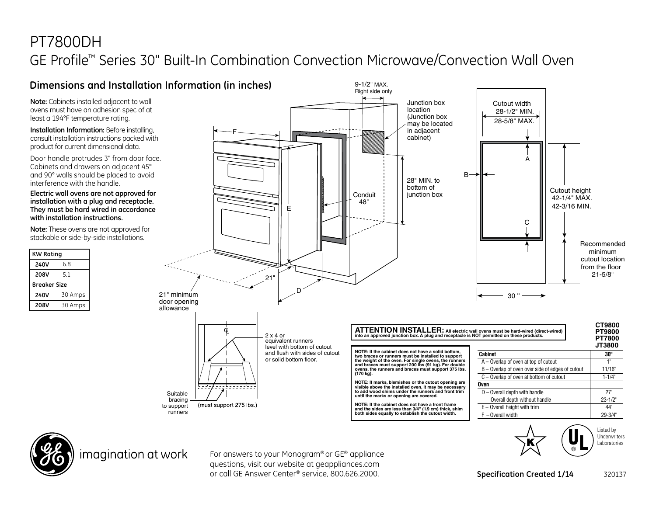## PT7800DH GE Profile™ Series 30" Built-In Combination Convection Microwave/Convection Wall Oven





imagination at work

For answers to your Monogram® or GE® appliance questions, visit our website at geappliances.com or call GE Answer Center® service, 800.626.2000.

**Specification Created 1/14** 320137

Underwriters Laboratories